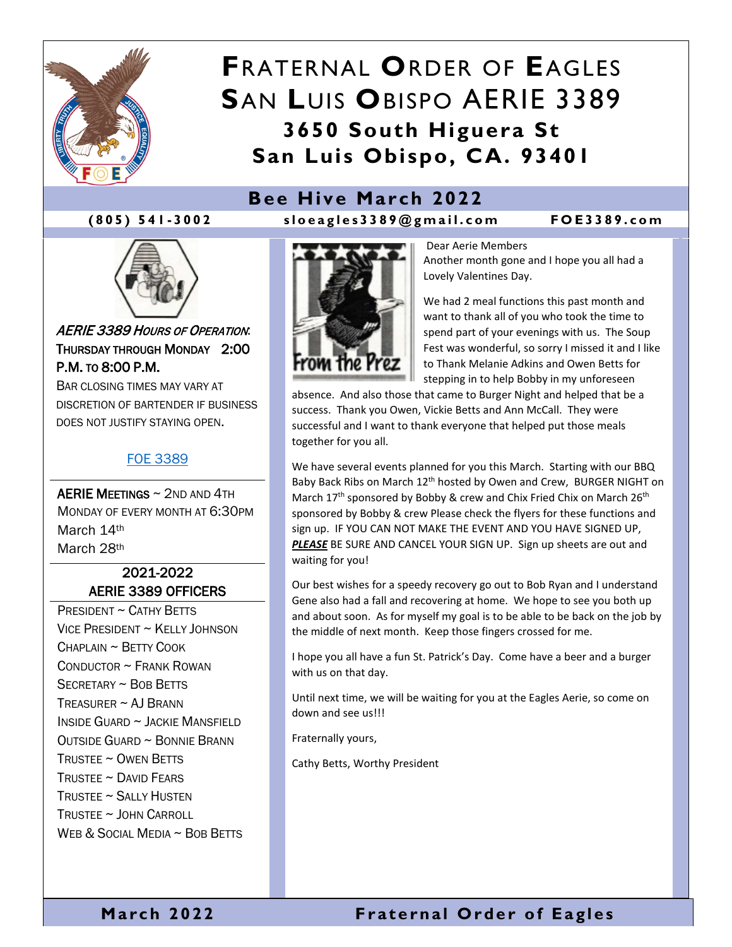

# **F**RATERNAL **O**RDER OF **E**AGLES **S**AN **L**UIS **O**BISPO AERIE 3389 **3650 South Higuera St San Luis Obispo, CA. 93401**

## **Bee Hive March 2022**

**(805) 541 - 300 2 sloeagles3389@gmail.co m FOE3389.com**



AERIE 3389 HOURS OF OPERATION: THURSDAY THROUGH MONDAY 2:00 P.M. TO 8:00 P.M.

BAR CLOSING TIMES MAY VARY AT DISCRETION OF BARTENDER IF BUSINESS DOES NOT JUSTIFY STAYING OPEN.

#### [FOE 3389](https://foe3389.com/)

AERIE MEETINGS ~ 2ND AND 4TH MONDAY OF EVERY MONTH AT 6:30PM March 14th March 28th

#### 2021-2022 AERIE 3389 OFFICERS

PRESIDENT ~ CATHY BETTS VICE PRESIDENT ~ KELLY JOHNSON  $CHAPI$  AIN  $\sim$  BFTTY COOK CONDUCTOR ~ FRANK ROWAN SECRETARY ~ BOB BETTS TREASURER  $\sim$  AJ BRANN INSIDE GUARD ~ JACKIE MANSFIELD OUTSIDE GUARD ~ BONNIE BRANN TRUSTEE ~ OWEN BETTS TRUSTEE  $\sim$  David Fears TRUSTEE ~ SALLY HUSTEN TRUSTEE ~ JOHN CARROLL WEB & SOCIAL MEDIA ~ BOB BETTS



Dear Aerie Members Another month gone and I hope you all had a Lovely Valentines Day.

We had 2 meal functions this past month and want to thank all of you who took the time to spend part of your evenings with us. The Soup Fest was wonderful, so sorry I missed it and I like to Thank Melanie Adkins and Owen Betts for stepping in to help Bobby in my unforeseen

absence. And also those that came to Burger Night and helped that be a success. Thank you Owen, Vickie Betts and Ann McCall. They were successful and I want to thank everyone that helped put those meals together for you all.

We have several events planned for you this March. Starting with our BBQ Baby Back Ribs on March 12<sup>th</sup> hosted by Owen and Crew, BURGER NIGHT on March 17<sup>th</sup> sponsored by Bobby & crew and Chix Fried Chix on March 26<sup>th</sup> sponsored by Bobby & crew Please check the flyers for these functions and sign up. IF YOU CAN NOT MAKE THE EVENT AND YOU HAVE SIGNED UP, **PLEASE** BE SURE AND CANCEL YOUR SIGN UP. Sign up sheets are out and waiting for you!

Our best wishes for a speedy recovery go out to Bob Ryan and I understand Gene also had a fall and recovering at home. We hope to see you both up and about soon. As for myself my goal is to be able to be back on the job by the middle of next month. Keep those fingers crossed for me.

I hope you all have a fun St. Patrick's Day. Come have a beer and a burger with us on that day.

Until next time, we will be waiting for you at the Eagles Aerie, so come on down and see us!!!

Fraternally yours,

Cathy Betts, Worthy President

### **March 2022 Fraternal Order of Eagles**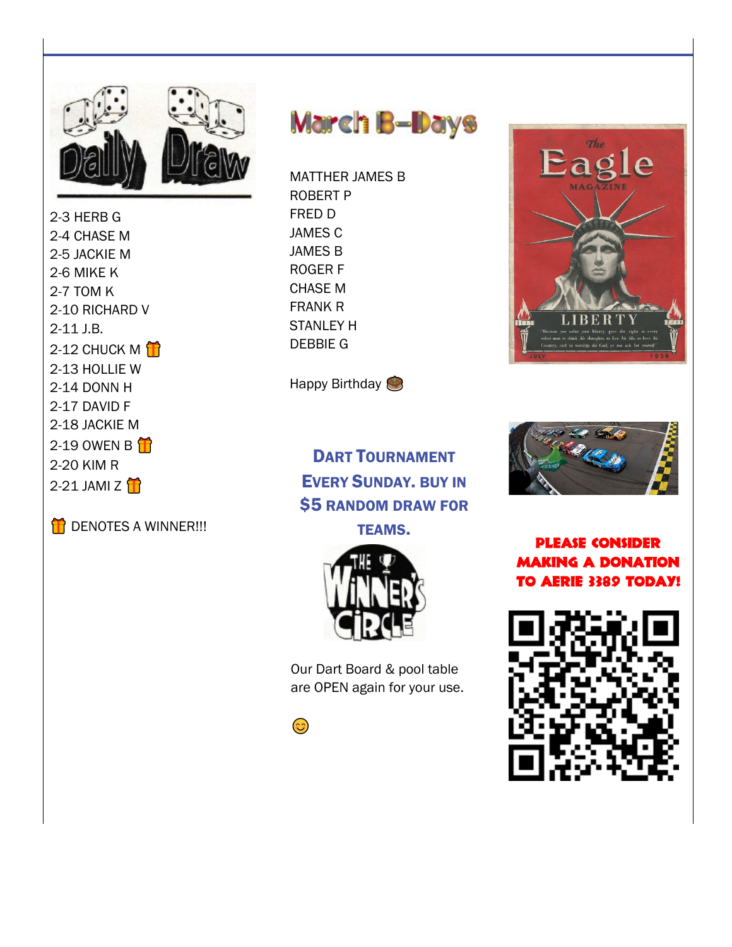

2-3 HERB G 2-4 CHASE M 2-5 JACKIE M 2-6 MIKE K 2-7 TOM K 2-10 RICHARD V  $2-11$  J.B. 2-12 CHUCK M $\hat{H}$ 2-13 HOLLIE W 2-14 DONN H 2-17 DAVID F 2-18 JACKIE M 2-19 OWEN B 2-20 KIM R 2-21 JAMI Z





**MATTHER JAMES B ROBERT P** FRED D **JAMES C JAMES B ROGERF CHASE M FRANK R STANI FY H DEBBIE G** 

Happy Birthday

**DART TOURNAMENT EVERY SUNDAY, BUY IN \$5 RANDOM DRAW FOR** 





Our Dart Board & pool table are OPEN again for your use.







**PLEASE CONSIDER MAKING A DONATION** TO AERIE 3389 TODAY!

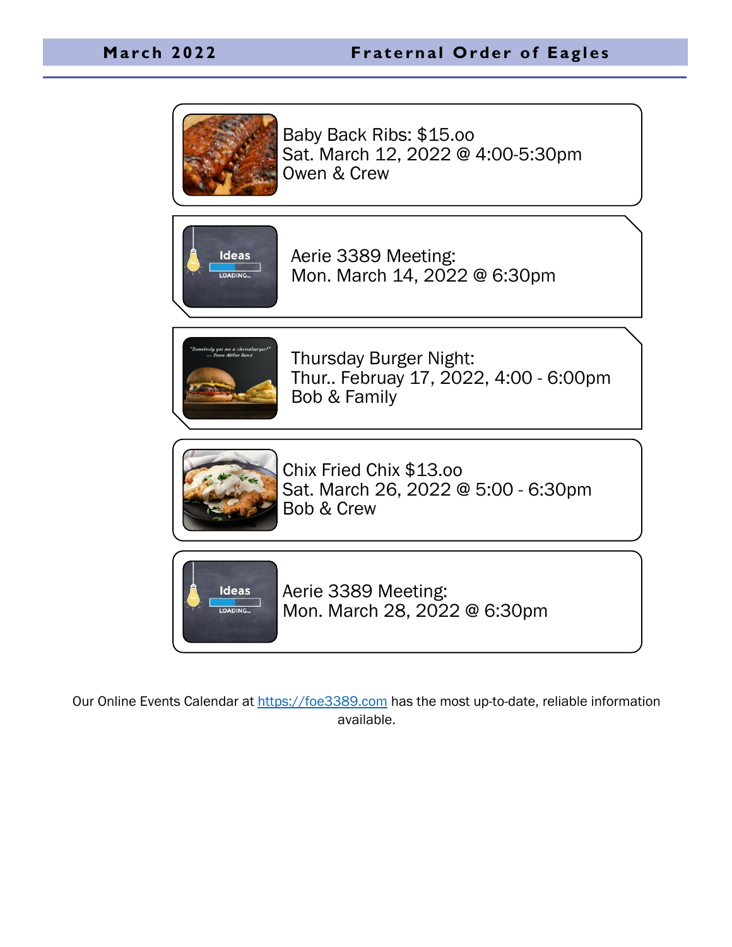

Baby Back Ribs: \$15.oo Sat. March 12, 2022 @ 4:00-5:30pm Owen & Crew



Aerie 3389 Meeting: Mon. March 14, 2022 @ 6:30pm



Thursday Burger Night: Thur.. Februay 17, 2022, 4:00 - 6:00pm Bob & Family



Chix Fried Chix \$13.oo Sat. March 26, 2022 @ 5:00 - 6:30pm Bob & Crew



Aerie 3389 Meeting: Mon. March 28, 2022 @ 6:30pm

Our Online Events Calendar at [https://foe3389.com](https://foe3389.com/?post_type=tribe_events) has the most up-to-date, reliable information available.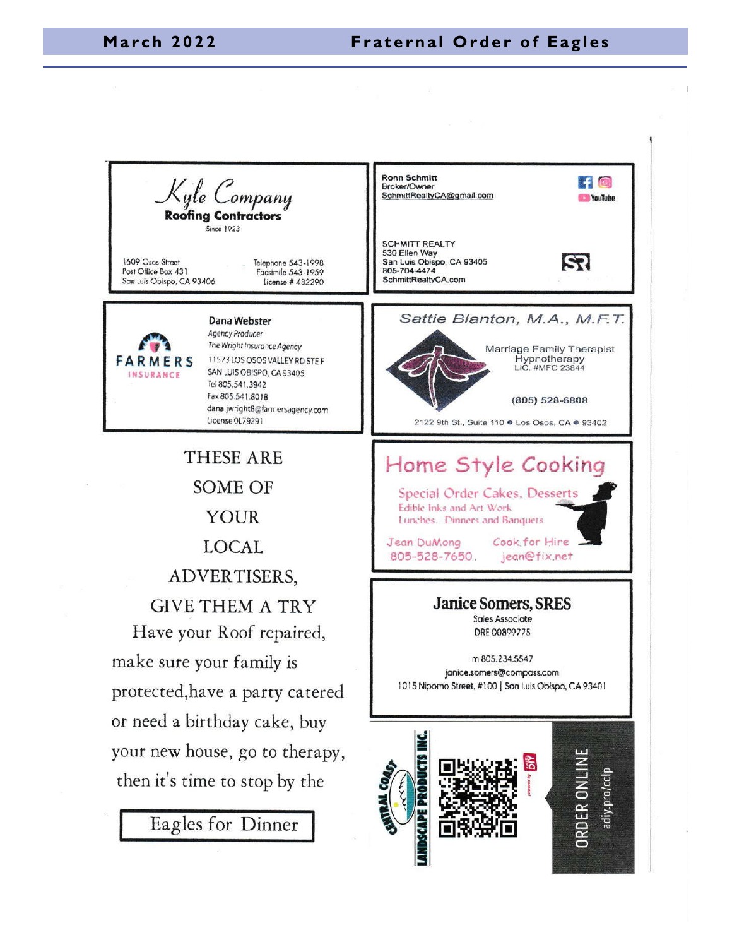#### **March 2022 Fraternal Order of Eagles**